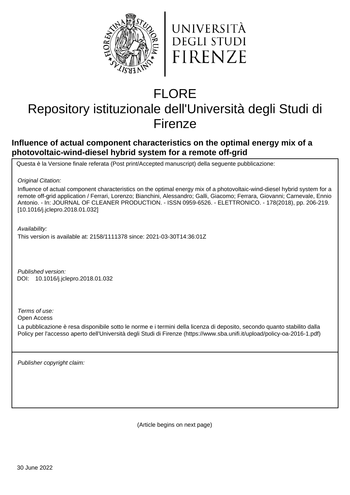



# FLORE

## Repository istituzionale dell'Università degli Studi di Firenze

### **Influence of actual component characteristics on the optimal energy mix of a photovoltaic-wind-diesel hybrid system for a remote off-grid**

Questa è la Versione finale referata (Post print/Accepted manuscript) della seguente pubblicazione:

Original Citation:

Influence of actual component characteristics on the optimal energy mix of a photovoltaic-wind-diesel hybrid system for a remote off-grid application / Ferrari, Lorenzo; Bianchini, Alessandro; Galli, Giacomo; Ferrara, Giovanni; Carnevale, Ennio Antonio. - In: JOURNAL OF CLEANER PRODUCTION. - ISSN 0959-6526. - ELETTRONICO. - 178(2018), pp. 206-219. [10.1016/j.jclepro.2018.01.032]

Availability:

This version is available at: 2158/1111378 since: 2021-03-30T14:36:01Z

Published version: 10.1016/j.jclepro.2018.01.032 DOI:

Terms of use:

Open Access

La pubblicazione è resa disponibile sotto le norme e i termini della licenza di deposito, secondo quanto stabilito dalla Policy per l'accesso aperto dell'Università degli Studi di Firenze (https://www.sba.unifi.it/upload/policy-oa-2016-1.pdf)

Publisher copyright claim:

(Article begins on next page)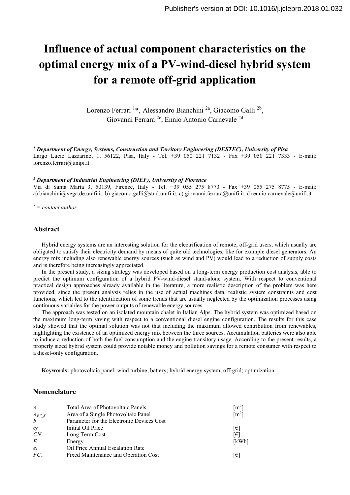## Influence of actual component characteristics on the optimal energy mix of a PV-wind-diesel hybrid system for a remote off-grid application

Lorenzo Ferrari <sup>1\*</sup>, Alessandro Bianchini <sup>2a</sup>, Giacomo Galli <sup>2b</sup>, Giovanni Ferrara 2c, Ennio Antonio Carnevale 2d

*<sup>1</sup> Department of Energy, Systems, Construction and Territory Engineering (DESTEC), University of Pisa*

Largo Lucio Lazzarino, 1, 56122, Pisa, Italy - Tel. +39 050 221 7132 - Fax +39 050 221 7333 - E-mail: lorenzo.ferrari@unipi.it

#### *<sup>2</sup> Department of Industrial Engineering (DIEF), University of Florence*

Via di Santa Marta 3, 50139, Firenze, Italy - Tel. +39 055 275 8773 - Fax +39 055 275 8775 - E-mail: a) bianchini@vega.de.unifi.it, b) giacomo.galli@stud.unifi.it, c) giovanni.ferrara@unifi.it, d) ennio.carnevale@unifi.it

*\* = contact author*

#### Abstract

Hybrid energy systems are an interesting solution for the electrification of remote, off-grid users, which usually are obligated to satisfy their electricity demand by means of quite old technologies, like for example diesel generators. An energy mix including also renewable energy sources (such as wind and PV) would lead to a reduction of supply costs and is therefore being increasingly appreciated.

In the present study, a sizing strategy was developed based on a long-term energy production cost analysis, able to predict the optimum configuration of a hybrid PV-wind-diesel stand-alone system. With respect to conventional practical design approaches already available in the literature, a more realistic description of the problem was here provided, since the present analysis relies in the use of actual machines data, realistic system constraints and cost functions, which led to the identification of some trends that are usually neglected by the optimization processes using continuous variables for the power outputs of renewable energy sources.

The approach was tested on an isolated mountain chalet in Italian Alps. The hybrid system was optimized based on the maximum long-term saving with respect to a conventional diesel engine configuration. The results for this case study showed that the optimal solution was not that including the maximum allowed contribution from renewables, highlighting the existence of an optimized energy mix between the three sources. Accumulation batteries were also able to induce a reduction of both the fuel consumption and the engine transitory usage. According to the present results, a properly sized hybrid system could provide notable money and pollution savings for a remote consumer with respect to a diesel-only configuration.

Keywords: photovoltaic panel; wind turbine; battery; hybrid energy system; off-grid; optimization

#### Nomenclature

| $\overline{A}$   | Total Area of Photovoltaic Panels         | $\lceil m^2 \rceil$ |
|------------------|-------------------------------------------|---------------------|
| $A_{PV}$ s       | Area of a Single Photovoltaic Panel       | $\lceil m^2 \rceil$ |
| $\boldsymbol{b}$ | Parameter for the Electronic Devices Cost |                     |
| $c_f$            | Initial Oil Price                         | [€]                 |
| <i>CN</i>        | Long Term Cost                            | ſ€1                 |
| E                | Energy                                    | [kWh]               |
| $e_f$            | Oil Price Annual Escalation Rate          |                     |
| $FC_n$           | Fixed Maintenance and Operation Cost      | l€l                 |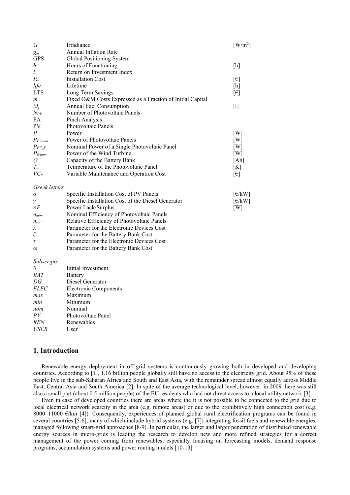| G                        | Irradiance                                                 | $\left[\text{W/m}^2\right]$         |
|--------------------------|------------------------------------------------------------|-------------------------------------|
| $g_m$                    | <b>Annual Inflation Rate</b>                               |                                     |
| <b>GPS</b>               | Global Positioning System                                  |                                     |
| $\boldsymbol{h}$         | Hours of Functioning                                       | [h]                                 |
| i                        | Return on Investment Index                                 |                                     |
| IC                       | <b>Installation Cost</b>                                   | [6]                                 |
| life                     | Lifetime                                                   | [h]                                 |
| <b>LTS</b>               | Long Term Savings                                          | $[\epsilon]$                        |
| $\boldsymbol{m}$         | Fixed O&M Costs Expressed as a Fraction of Initial Capital |                                     |
| $M_f$                    | <b>Annual Fuel Consumption</b>                             | $[1]$                               |
| $N_{PV}$                 | Number of Photovoltaic Panels                              |                                     |
| <b>PA</b>                | Pinch Analysis                                             |                                     |
| <b>PV</b>                | Photovoltaic Panels                                        |                                     |
| $\overline{P}$           | Power                                                      | [W]                                 |
| $P_{PVnom}$              | Power of Photovoltaic Panels                               | [W]                                 |
| $P_{PV}$ s               | Nominal Power of a Single Photovoltaic Panel               | [W]                                 |
| $P_{Wnom}$               | Power of the Wind Turbine                                  | [W]                                 |
| Q                        | Capacity of the Battery Bank                               | [Ah]                                |
| $T_m$                    | Temperature of the Photovoltaic Panel                      | [K]                                 |
| $\mathit{VC}_n$          | Variable Maintenance and Operation Cost                    | $[\in]$                             |
| Greek letters            |                                                            |                                     |
| α                        | Specific Installation Cost of PV Panels                    | $\lceil \frac{\epsilon}{kW} \rceil$ |
| γ                        | Specific Installation Cost of the Diesel Generator         | $\lceil \frac{\epsilon}{kW} \rceil$ |
| ⊿P                       | Power Lack/Surplus                                         | $\lceil W \rceil$                   |
| $\eta_{nom}$             | Nominal Efficiency of Photovoltaic Panels                  |                                     |
| $\eta_{rel}$             | Relative Efficiency of Photovoltaic Panels                 |                                     |
| λ                        | Parameter for the Electronic Devices Cost                  |                                     |
| $\boldsymbol{\xi}$       | Parameter for the Battery Bank Cost                        |                                     |
| τ                        | Parameter for the Electronic Devices Cost                  |                                     |
| $\omega$                 | Parameter for the Battery Bank Cost                        |                                     |
|                          |                                                            |                                     |
| <u>Subscripts</u>        |                                                            |                                     |
| 0                        | Initial Investment                                         |                                     |
| BAT                      | Battery                                                    |                                     |
| $\overline{\mathrm{D}G}$ | Diesel Generator                                           |                                     |
| <i>ELEC</i>              | <b>Electronic Components</b>                               |                                     |
| max                      | Maximum                                                    |                                     |
|                          |                                                            |                                     |

*min* Minimum *nom* Nominal *PV* Photovoltaic Panel

*REN* Renewables

*USER* User

#### 1. Introduction

Renewable energy deployment in off-grid systems is continuously growing both in developed and developing countries. According to [1], 1.16 billion people globally still have no access to the electricity grid. About 95% of these people live in the sub-Saharan Africa and South and East Asia, with the remainder spread almost equally across Middle East, Central Asia and South America [2]. In spite of the average technological level, however, in 2009 there was still also a small part (about 0.5 million people) of the EU residents who had not direct access to a local utility network [3].

Even in case of developed countries there are areas where the it is not possible to be connected to the grid due to local electrical network scarcity in the area (e.g. remote areas) or due to the prohibitively high connection cost (e.g. 8000–11000  $\epsilon$ /km [4]). Consequently, experiences of planned global rural electrification programs can be found in several countries [5-6], many of which include hybrid systems (e.g. [7]) integrating fossil fuels and renewable energies, managed following smart-grid approaches [8-9]. In particular, the larger and larger penetration of distributed renewable energy sources in micro-grids is leading the research to develop new and more refined strategies for a correct management of the power coming from renewables, especially focusing on forecasting models, demand response programs, accumulation systems and power routing models [10-13].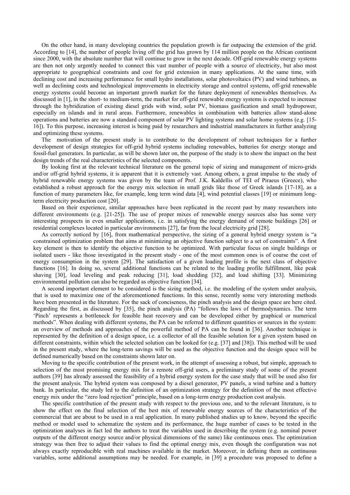On the other hand, in many developing countries the population growth is far outpacing the extension of the grid. According to [14], the number of people living off the grid has grown by 114 million people on the African continent since 2000, with the absolute number that will continue to grow in the next decade. Off-grid renewable energy systems are then not only urgently needed to connect this vast number of people with a source of electricity, but also most appropriate to geographical constraints and cost for grid extension in many applications. At the same time, with declining cost and increasing performance for small hydro installations, solar photovoltaics (PV) and wind turbines, as well as declining costs and technological improvements in electricity storage and control systems, off-grid renewable energy systems could become an important growth market for the future deployment of renewables themselves. As discussed in [1], in the short- to medium-term, the market for off-grid renewable energy systems is expected to increase through the hybridization of existing diesel grids with wind, solar PV, biomass gasification and small hydropower, especially on islands and in rural areas. Furthermore, renewables in combination with batteries allow stand-alone operations and batteries are now a standard component of solar PV lighting systems and solar home systems (e.g. [15- 16]). To this purpose, increasing interest is being paid by researchers and industrial manufacturers in further analyzing and optimizing these systems.

The motivation of the present study is to contribute to the development of robust techniques for a further development of design strategies for off-grid hybrid systems including renewables, batteries for energy storage and fossil-fuel generators. In particular, as will be shown later on, the purpose of the study is to show the impact on the best design trends of the real characteristics of the selected components.

By looking first at the relevant technical literature on the general topic of sizing and management of micro-grids and/or off-grid hybrid systems, it is apparent that it is extremely vast. Among others, a great impulse to the study of hybrid renewable energy systems was given by the team of Prof. J.K. Kaldellis of TEI of Piraeus (Greece), who established a robust approach for the energy mix selection in small grids like those of Greek islands [17-18], as a function of many parameters like, for example, long term wind data [4], wind potential classes [19] or minimum longterm electricity production cost [20].

Based on their experience, similar approaches have been replicated in the recent past by many researchers into different environments (e.g. [21-25]). The use of proper mixes of renewable energy sources also has some very interesting prospects in even smaller applications, i.e. in satisfying the energy demand of remote buildings [26] or residential complexes located in particular environments [27], far from the local electricity grid [28].

As correctly noticed by [16], from mathematical perspective, the sizing of a general hybrid energy system is "a constrained optimization problem that aims at minimizing an objective function subject to a set of constraints". A first key element is then to identify the objective function to be optimized. With particular focus on single buildings or isolated users - like those investigated in the present study - one of the most common ones is of course the cost of energy consumption in the system [29]. The satisfaction of a given loading profile is the next class of objective functions [16]. In doing so, several additional functions can be related to the loading profile fulfillment, like peak shaving [30], load leveling and peak reducing [31], load shedding [32], and load shifting [33]. Minimizing environmental pollution can also be regarded as objective function [34].

A second important element to be considered is the sizing method, i.e. the modeling of the system under analysis, that is used to maximize one of the aforementioned functions. In this sense, recently some very interesting methods have been presented in the literature. For the sack of conciseness, the pinch analysis and the design space are here cited. Regarding the first, as discussed by [35], the pinch analysis (PA) "follows the laws of thermodynamics. The term 'Pinch' represents a bottleneck for feasible heat recovery and can be developed either by graphical or numerical methods". When dealing with different systems, the PA can be referred to different quantities or sources in the system: an overview of methods and approaches of the powerful method of PA can be found in [36]. Another technique is represented by the definition of a design space, i.e. a collector of all the feasible solution for a given system based on different constraints, within which the selected solution can be looked for (e.g. [37] and [38]). This method will be used in the present study, where the long-term savings will be used as the objective function and the design space will be defined numerically based on the constraints shown later on.

Moving to the specific contribution of the present work, in the attempt of assessing a robust, but simple, approach to selection of the most promising energy mix for a remote off-grid users, a preliminary study of some of the present authors [39] has already assessed the feasibility of a hybrid energy system for the case study that will be used also for the present analysis. The hybrid system was composed by a diesel generator, PV panels, a wind turbine and a battery bank. In particular, the study led to the definition of an optimization strategy for the definition of the most effective energy mix under the "zero load rejection" principle, based on a long-term energy production cost analysis.

The specific contribution of the present study with respect to the previous one, and to the relevant literature, is to show the effect on the final selection of the best mix of renewable energy sources of the characteristics of the commercial that are about to be used in a real application. In many published studies up to know, beyond the specific method or model used to schematize the system and its performance, the huge number of cases to be tested in the optimization analyses in fact led the authors to treat the variables used in describing the system (e.g. nominal power outputs of the different energy source and/or physical dimensions of the same) like continuous ones. The optimization strategy was then free to adjust their values to find the optimal energy mix, even though the configuration was not always exactly reproducible with real machines available in the market. Moreover, in defining them as continuous variables, some additional assumptions may be needed. For example, in [39] a procedure was proposed to define a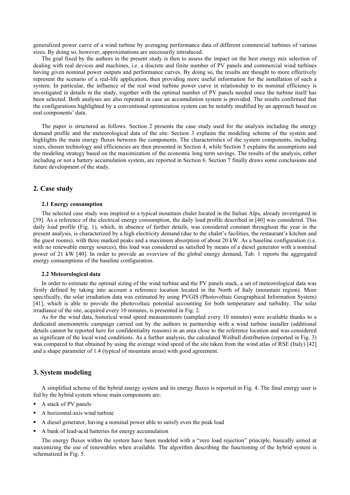generalized power curve of a wind turbine by averaging performance data of different commercial turbines of various sizes. By doing so, however, approximations are necessarily introduced.

The goal fixed by the authors in the present study is then to assess the impact on the best energy mix selection of dealing with real devices and machines, i.e. a discrete and finite number of PV panels and commercial wind turbines having given nominal power outputs and performance curves. By doing so, the results are thought to more effectively represent the scenario of a real-life application, then providing more useful information for the installation of such a system. In particular, the influence of the real wind turbine power curve in relationship to its nominal efficiency is investigated in details in the study, together with the optimal number of PV panels needed once the turbine itself has been selected. Both analyses are also repeated in case an accumulation system is provided. The results confirmed that the configurations highlighted by a conventional optimization system can be notably modified by an approach based on real components' data.

The paper is structured as follows. Section 2 presents the case study used for the analysis including the energy demand profile and the meteorological data of the site. Section 3 explains the modeling scheme of the system and highlights the main energy fluxes between the components. The characteristics of the system components, including sizes, chosen technology and efficiencies are then presented in Section 4, while Section 5 explains the assumptions and the modeling strategy based on the maximization of the economic long term savings. The results of the analysis, either including or not a battery accumulation system, are reported in Section 6. Section 7 finally draws some conclusions and future development of the study.

#### 2. Case study

#### 2.1 Energy consumption

The selected case study was inspired to a typical mountain chalet located in the Italian Alps, already investigated in [39]. As a reference of the electrical energy consumption, the daily load profile described in [40] was considered. This daily load profile (Fig. 1), which, in absence of further details, was considered constant throughout the year in the present analysis, is characterized by a high electricity demand (due to the chalet's facilities, the restaurant's kitchen and the guest rooms), with three marked peaks and a maximum absorption of about 20 kW. As a baseline configuration (i.e. with no renewable energy sources), this load was considered as satisfied by means of a diesel generator with a nominal power of 21 kW [40]. In order to provide an overview of the global energy demand, Tab. 1 reports the aggregated energy consumptions of the baseline configuration.

#### 2.2 Meteorological data

In order to estimate the optimal sizing of the wind turbine and the PV panels stack, a set of meteorological data was firstly defined by taking into account a reference location located in the North of Italy (mountain region). More specifically, the solar irradiation data was estimated by using PVGIS (Photovoltaic Geographical Information System) [41], which is able to provide the photovoltaic potential accounting for both temperature and turbidity. The solar irradiance of the site, acquired every 10 minutes, is presented in Fig. 2.

As for the wind data, historical wind speed measurements (sampled every 10 minutes) were available thanks to a dedicated anemometric campaign carried out by the authors in partnership with a wind turbine installer (additional details cannot be reported here for confidentiality reasons) in an area close to the reference location and was considered as significant of the local wind conditions. As a further analysis, the calculated Weibull distribution (reported in Fig. 3) was compared to that obtained by using the average wind speed of the site taken from the wind atlas of RSE (Italy) [42] and a shape parameter of 1.4 (typical of mountain areas) with good agreement.

#### 3. System modeling

A simplified scheme of the hybrid energy system and its energy fluxes is reported in Fig. 4. The final energy user is fed by the hybrid system whose main components are:

- A stack of PV panels
- A horizontal-axis wind turbine
- A diesel generator, having a nominal power able to satisfy even the peak load
- A bank of lead-acid batteries for energy accumulation

The energy fluxes within the system have been modeled with a "zero load rejection" principle, basically aimed at maximizing the use of renewables when available. The algorithm describing the functioning of the hybrid system is schematized in Fig. 5.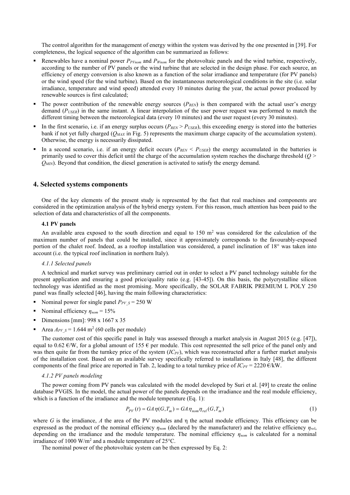The control algorithm for the management of energy within the system was derived by the one presented in [39]. For completeness, the logical sequence of the algorithm can be summarized as follows:

- Renewables have a nominal power *PPVnom* and *PWnom* for the photovoltaic panels and the wind turbine, respectively, according to the number of PV panels or the wind turbine that are selected in the design phase. For each source, an efficiency of energy conversion is also known as a function of the solar irradiance and temperature (for PV panels) or the wind speed (for the wind turbine). Based on the instantaneous meteorological conditions in the site (i.e. solar irradiance, temperature and wind speed) attended every 10 minutes during the year, the actual power produced by renewable sources is first calculated;
- The power contribution of the renewable energy sources ( $P_{REN}$ ) is then compared with the actual user's energy demand (*PUSER*) in the same instant. A linear interpolation of the user power request was performed to match the different timing between the meteorological data (every 10 minutes) and the user request (every 30 minutes).
- In the first scenario, i.e. if an energy surplus occurs  $(P_{REN} > P_{USER})$ , this exceeding energy is stored into the batteries bank if not yet fully charged (*QMAX* in Fig. 5) represents the maximum charge capacity of the accumulation system). Otherwise, the energy is necessarily dissipated.
- In a second scenario, i.e. if an energy deficit occurs ( $P_{REN}$  <  $P_{USER}$ ) the energy accumulated in the batteries is primarily used to cover this deficit until the charge of the accumulation system reaches the discharge threshold (*Q >*   $Q_{MN}$ ). Beyond that condition, the diesel generation is activated to satisfy the energy demand.

#### 4. Selected systems components

One of the key elements of the present study is represented by the fact that real machines and components are considered in the optimization analysis of the hybrid energy system. For this reason, much attention has been paid to the selection of data and characteristics of all the components.

#### 4.1 PV panels

An available area exposed to the south direction and equal to  $150 \text{ m}^2$  was considered for the calculation of the maximum number of panels that could be installed, since it approximately corresponds to the favourably-exposed portion of the chalet roof. Indeed, as a rooftop installation was considered, a panel inclination of 18° was taken into account (i.e. the typical roof inclination in northern Italy).

#### *4.1.1 Selected panels*

A technical and market survey was preliminary carried out in order to select a PV panel technology suitable for the present application and ensuring a good price/quality ratio (e.g. [43-45]). On this basis, the polycrystalline silicon technology was identified as the most promising. More specifically, the SOLAR FABRIK PREMIUM L POLY 250 panel was finally selected [46], having the main following characteristics:

- Nominal power for single panel  $P_{PV}$ <sub>S</sub> = 250 W
- Nominal efficiency  $\eta_{nom} = 15\%$
- Dimensions [mm]:  $998 \times 1667 \times 35$
- Area  $A_{PV}$ <sub>S</sub> = 1.644 m<sup>2</sup> (60 cells per module)

The customer cost of this specific panel in Italy was assessed through a market analysis in August 2015 (e.g. [47]), equal to 0.62  $\epsilon/W$ , for a global amount of 155  $\epsilon$  per module. This cost represented the sell price of the panel only and was then quite far from the turnkey price of the system (*IC<sub>PV</sub>*), which was reconstructed after a further market analysis of the installation cost. Based on an available survey specifically referred to installations in Italy [48], the different components of the final price are reported in Tab. 2, leading to a total turnkey price of  $IC_{PV} = 2220 \text{ E/kW}$ .

#### *4.1.2 PV panels modeling*

The power coming from PV panels was calculated with the model developed by Suri et al. [49] to create the online database PVGIS. In the model, the actual power of the panels depends on the irradiance and the real module efficiency, which is a function of the irradiance and the module temperature (Eq. 1):

$$
P_{PV}(t) = GA \eta(G, T_m) = GA \eta_{nom} \eta_{rel}(G, T_m)
$$
\n<sup>(1)</sup>

where  $G$  is the irradiance,  $A$  the area of the PV modules and  $\eta$  the actual module efficiency. This efficiency can be expressed as the product of the nominal efficiency *ηnom* (declared by the manufacturer) and the relative efficiency *ηrel*, depending on the irradiance and the module temperature. The nominal efficiency *ηnom* is calculated for a nominal irradiance of 1000 W/m<sup>2</sup> and a module temperature of 25 $^{\circ}$ C.

The nominal power of the photovoltaic system can be then expressed by Eq. 2: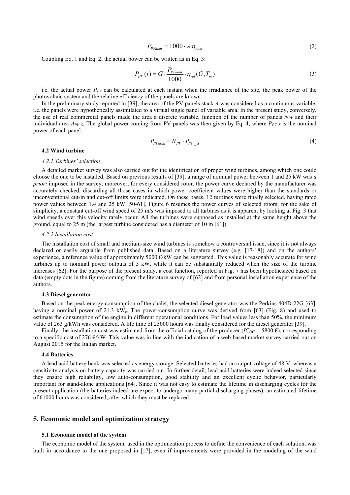$$
P_{\text{PVnom}} = 1000 \cdot A \eta_{\text{nom}} \tag{2}
$$

Coupling Eq. 1 and Eq. 2, the actual power can be written as in Eq. 3:

$$
P_{\text{PV}}(t) = G \cdot \frac{P_{\text{PVnom}}}{1000} \cdot \eta_{\text{rel}}(G, T_m)
$$
\n
$$
\tag{3}
$$

i.e. the actual power  $P_{PV}$  can be calculated at each instant when the irradiance of the site, the peak power of the photovoltaic system and the relative efficiency of the panels are known.

In the preliminary study reported in [39], the area of the PV panels stack *A* was considered as a continuous variable, i.e. the panels were hypothetically assimilated to a virtual single panel of variable area. In the present study, conversely, the use of real commercial panels made the area a discrete variable, function of the number of panels  $N_{PV}$  and their individual area  $A_{PV}$ <sub>S</sub>. The global power coming from PV panels was then given by Eq. 4, where  $P_{PV}$ <sub>S</sub> is the nominal power of each panel.

$$
P_{PVnom} = N_{PV} \cdot P_{PV\_S} \tag{4}
$$

#### 4.2 Wind turbine

#### *4.2.1 Turbines' selection*

A detailed market survey was also carried out for the identification of proper wind turbines, among which one could choose the one to be installed. Based on previous results of [39], a range of nominal power between 1 and 25 kW was *a priori* imposed in the survey; moreover, for every considered rotor, the power curve declared by the manufacturer was accurately checked, discarding all those cases in which power coefficient values were higher than the standards or unconventional cut-in and cut-off limits were indicated. On these bases, 12 turbines were finally selected, having rated power values between 1.4 and 25 kW [50-61]. Figure 6 resumes the power curves of selected rotors; for the sake of simplicity, a constant cut-off wind speed of 25 m/s was imposed to all turbines as it is apparent by looking at Fig. 3 that wind speeds over this velocity rarely occur. All the turbines were supposed as installed at the same height above the ground, equal to 25 m (the largest turbine considered has a diameter of 10 m [61]).

#### *4.2.2 Installation cost*

The installation cost of small and medium-size wind turbines is somehow a controversial issue, since it is not always declared or easily arguable from published data. Based on a literature survey (e.g. [17-18]) and on the authors' experience, a reference value of approximately  $5000 \text{ E/kW}$  can be suggested. This value is reasonably accurate for wind turbines up to nominal power outputs of 5 kW, while it can be substantially reduced when the size of the turbine increases [62]. For the purpose of the present study, a cost function, reported in Fig. 7 has been hypothesized based on data (empty dots in the figure) coming from the literature survey of [62] and from personal installation experience of the authors.

#### 4.3 Diesel generator

Based on the peak energy consumption of the chalet, the selected diesel generator was the Perkins 404D-22G [63], having a nominal power of 21.3 kW<sub>e</sub>. The power-consumption curve was derived from [63] (Fig. 8) and used to estimate the consumption of the engine in different operational conditions. For load values less than 50%, the minimum value of 263 g/kWh was considered. A life time of 25000 hours was finally considered for the diesel generator [39].

Finally, the installation cost was estimated from the official catalog of the producer ( $IC_{DG}$  = 5800 €), corresponding to a specific cost of 276 €/kW. This value was in line with the indication of a web-based market survey carried out on August 2015 for the Italian market.

#### 4.4 Batteries

A lead acid battery bank was selected as energy storage. Selected batteries had an output voltage of 48 V, whereas a sensitivity analysis on battery capacity was carried out. In further detail, lead acid batteries were indeed selected since they ensure high reliability, low auto-consumption, good stability and an excellent cyclic behavior, particularly important for stand-alone applications [64]. Since it was not easy to estimate the lifetime in discharging cycles for the present application (the batteries indeed are expect to undergo many partial-discharging phases), an estimated lifetime of 61000 hours was considered, after which they must be replaced.

#### 5. Economic model and optimization strategy

#### 5.1 Economic model of the system

The economic model of the system, used in the optimization process to define the convenience of each solution, was built in accordance to the one proposed in [17], even if improvements were provided in the modeling of the wind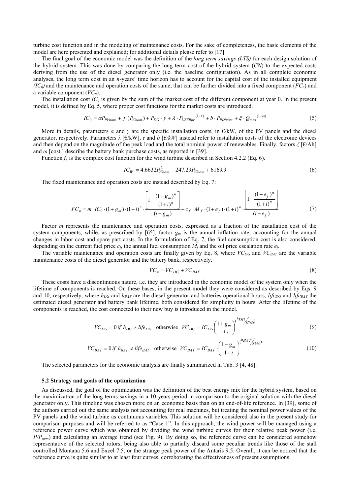turbine cost function and in the modeling of maintenance costs. For the sake of completeness, the basic elements of the model are here presented and explained; for additional details please refer to [17].

The final goal of the economic model was the definition of the *long term savings (LTS)* for each design solution of the hybrid system. This was done by comparing the long term cost of the hybrid system (*CN*) to the expected costs deriving from the use of the diesel generator only (i.e. the baseline configuration). As in all complete economic analyses, the long term cost in an *n*-years' time horizon has to account for the capital cost of the installed equipment  $(IC_0)$  and the maintenance and operation costs of the same, that can be further divided into a fixed component  $(FC_n)$  and a variable component (*VCn*).

The installation cost  $IC<sub>0</sub>$  is given by the sum of the market cost of the different component at year 0. In the present model, it is defined by Eq. 5, where proper cost functions for the market costs are introduced.

$$
IC_0 = \alpha P_{PVnom} + f_1(P_{Wnom}) + P_{DG} \cdot \gamma + \lambda \cdot P_{USERpk}^{(1-\tau)} + b \cdot P_{RINnom} + \xi \cdot Q_{max}^{(1-\omega)}
$$
(5)

More in details, parameters  $\alpha$  and  $\gamma$  are the specific installation costs, in  $\epsilon/kW$ , of the PV panels and the diesel generator, respectively. Parameters *λ* [€/kW], *τ* and *b* [*€/kW*] instead refer to installation costs of the electronic devices and then depend on the magnitude of the peak load and the total nominal power of renewables. Finally, factors *ξ* [€/Ah] and *ω* [cost.] describe the battery bank purchase costs, as reported in [39].

Function  $f_l$  is the complex cost function for the wind turbine described in Section 4.2.2 (Eq. 6).

$$
IC_W = 4.6632P_{Wnom}^2 - 247.29P_{Wnom} + 6169.9\tag{6}
$$

The fixed maintenance and operation costs are instead described by Eq. 7:

$$
FC_n = m \cdot IC_0 \cdot (1 + g_m) \cdot (1 + i)^n \cdot \frac{\left[1 - \frac{(1 + g_m)^n}{(1 + i)^n}\right]}{(i - g_m)} + c_f \cdot M_f \cdot (1 + e_f) \cdot (1 + i)^n \cdot \frac{\left[1 - \frac{(1 + e_f)^n}{(1 + i)^n}\right]}{(i - e_f)}\tag{7}
$$

Factor *m* represents the maintenance and operation costs, expressed as a fraction of the installation cost of the system components, while, as prescribed by  $[65]$ , factor  $g_m$  is the annual inflation rate, accounting for the annual changes in labor cost and spare part costs. In the formulation of Eq. 7, the fuel consumption cost is also considered, depending on the current fuel price *cf*, the annual fuel consumption *Mf* and the oil price escalation rate *ef*.

The variable maintenance and operation costs are finally given by Eq. 8, where *VC<sub>DG</sub>* and *VCBAT* are the variable maintenance costs of the diesel generator and the battery bank, respectively.

$$
VC_n = VC_{DG} + VC_{BAT} \tag{8}
$$

These costs have a discontinuous nature, i.e. they are introduced in the economic model of the system only when the lifetime of components is reached. On these bases, in the present model they were considered as described by Eqs. 9 and 10, respectively, where  $h_{DG}$  and  $h_{BAT}$  are the diesel generator and batteries operational hours, *life<sub>DG</sub>* and *life<sub>BAT</sub>* the estimated diesel generator and battery bank lifetime, both considered for simplicity in hours. After the lifetime of the components is reached, the cost connected to their new buy is introduced in the model.

$$
VC_{DG} = 0 \text{ if } h_{DG} \neq life_{DG} \quad \text{otherwise} \quad VC_{DG} = IC_{DG} \left(\frac{1+g_m}{1+i}\right)^{(hDG)(8760)} \tag{9}
$$

$$
VC_{BAT} = 0 \text{ if } h_{BAT} \neq life_{BAT} \text{ otherwise } VC_{BAT} = IC_{BAT} \cdot \left(\frac{1+g_m}{1+i}\right)^{(hBAT/g_{760})}
$$
\n
$$
(10)
$$

The selected parameters for the economic analysis are finally summarized in Tab. 3 [4, 48].

#### 5.2 Strategy and goals of the optimization

As discussed, the goal of the optimization was the definition of the best energy mix for the hybrid system, based on the maximization of the long terms savings in a 10-years period in comparison to the original solution with the diesel generator only. This timeline was chosen more on an economic basis than on an end-of-life reference. In [39], some of the authors carried out the same analysis not accounting for real machines, but treating the nominal power values of the PV panels and the wind turbine as continuous variables. This solution will be considered also in the present study for comparison purposes and will be referred to as "Case 1". In this approach, the wind power will be managed using a reference power curve which was obtained by dividing the wind turbine curves for their relative peak power (i.e. *P/Pnom*) and calculating an average trend (see Fig. 9). By doing so, the reference curve can be considered somehow representative of the selected rotors, being also able to partially discard some peculiar trends like those of the stall controlled Montana 5.6 and Excel 7.5, or the strange peak power of the Antaris 9.5. Overall, it can be noticed that the reference curve is quite similar to at least four curves, corroborating the effectiveness of present assumptions.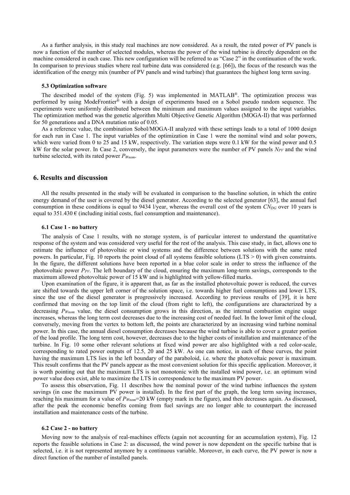As a further analysis, in this study real machines are now considered. As a result, the rated power of PV panels is now a function of the number of selected modules, whereas the power of the wind turbine is directly dependent on the machine considered in each case. This new configuration will be referred to as "Case 2" in the continuation of the work. In comparison to previous studies where real turbine data was considered (e.g. [66]), the focus of the research was the identification of the energy mix (number of PV panels and wind turbine) that guarantees the highest long term saving.

#### 5.3 Optimization software

The described model of the system (Fig. 5) was implemented in MATLAB<sup>®</sup>. The optimization process was performed by using ModeFrontier® with a design of experiments based on a Sobol pseudo random sequence. The experiments were uniformly distributed between the minimum and maximum values assigned to the input variables. The optimization method was the genetic algorithm Multi Objective Genetic Algorithm (MOGA-II) that was performed for 50 generations and a DNA mutation ratio of 0.05.

As a reference value, the combination Sobol/MOGA-II analyzed with these settings leads to a total of 1000 design for each run in Case 1. The input variables of the optimization in Case 1 were the nominal wind and solar powers, which were varied from 0 to 25 and 15 kW, respectively. The variation steps were 0.1 kW for the wind power and 0.5 kW for the solar power. In Case 2, conversely, the input parameters were the number of PV panels *N<sub>PV</sub>* and the wind turbine selected, with its rated power  $P_{Wnom}$ .

#### 6. Results and discussion

All the results presented in the study will be evaluated in comparison to the baseline solution, in which the entire energy demand of the user is covered by the diesel generator. According to the selected generator [63], the annual fuel consumption in these conditions is equal to 9434 l/year, whereas the overall cost of the system  $CN_{DG}$  over 10 years is equal to  $351.430 \in (including initial costs, fuel consumption and maintenance).$ 

#### 6.1 Case 1 - no battery

The analysis of Case 1 results, with no storage system, is of particular interest to understand the quantitative response of the system and was considered very useful for the rest of the analysis. This case study, in fact, allows one to estimate the influence of photovoltaic or wind systems and the difference between solutions with the same rated powers. In particular, Fig. 10 reports the point cloud of all systems feasible solutions (LTS > 0) with given constraints. In the figure, the different solutions have been reported in a blue color scale in order to stress the influence of the photovoltaic power  $P_{\text{PV}}$ . The left boundary of the cloud, ensuring the maximum long-term savings, corresponds to the maximum allowed photovoltaic power of 15 kW and is highlighted with yellow-filled marks.

Upon examination of the figure, it is apparent that, as far as the installed photovoltaic power is reduced, the curves are shifted towards the upper left corner of the solution space, i.e. towards higher fuel consumptions and lower LTS, since the use of the diesel generator is progressively increased. According to previous results of [39], it is here confirmed that moving on the top limit of the cloud (from right to left), the configurations are characterized by a decreasing  $P_{Wnom}$  value, the diesel consumption grows in this direction, as the internal combustion engine usage increases, whereas the long term cost decreases due to the increasing cost of needed fuel. In the lower limit of the cloud, conversely, moving from the vertex to bottom left, the points are characterized by an increasing wind turbine nominal power. In this case, the annual diesel consumption decreases because the wind turbine is able to cover a greater portion of the load profile. The long term cost, however, decreases due to the higher costs of installation and maintenance of the turbine. In Fig. 10 some other relevant solutions at fixed wind power are also highlighted with a red color-scale, corresponding to rated power outputs of 12.5, 20 and 25 kW. As one can notice, in each of these curves, the point having the maximum LTS lies in the left boundary of the paraboloid, i.e. where the photovoltaic power is maximum. This result confirms that the PV panels appear as the most convenient solution for this specific application. Moreover, it is worth pointing out that the maximum LTS is not monotonic with the installed wind power, i.e. an optimum wind power value does exist, able to maximize the LTS in correspondence to the maximum PV power.

To assess this observation, Fig. 11 describes how the nominal power of the wind turbine influences the system savings (in case the maximum PV power is installed). In the first part of the graph, the long term saving increases, reaching his maximum for a value of  $P_{Wnom}=20$  kW (empty mark in the figure), and then decreases again. As discussed, after the peak the economic benefits coming from fuel savings are no longer able to counterpart the increased installation and maintenance costs of the turbine.

#### 6.2 Case 2 - no battery

Moving now to the analysis of real-machines effects (again not accounting for an accumulation system), Fig. 12 reports the feasible solutions in Case 2: as discussed, the wind power is now dependent on the specific turbine that is selected, i.e. it is not represented anymore by a continuous variable. Moreover, in each curve, the PV power is now a direct function of the number of installed panels.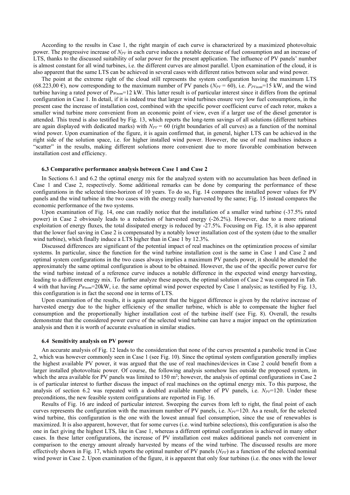According to the results in Case 1, the right margin of each curve is characterized by a maximized photovoltaic power. The progressive increase of *N<sub>PV</sub>* in each curve induces a notable decrease of fuel consumption and an increase of LTS, thanks to the discussed suitability of solar power for the present application. The influence of PV panels' number is almost constant for all wind turbines, i.e. the different curves are almost parallel. Upon examination of the cloud, it is also apparent that the same LTS can be achieved in several cases with different ratios between solar and wind power.

The point at the extreme right of the cloud still represents the system configuration having the maximum LTS (68.223,00 €), now corresponding to the maximum number of PV panels ( $N_{PV}$  = 60), i.e.  $P_{P_{Vnom}}$ =15 kW, and the wind turbine having a rated power of P*Wnom*=12 kW. This latter result is of particular interest since it differs from the optimal configuration in Case 1. In detail, if it is indeed true that larger wind turbines ensure very low fuel consumptions, in the present case the increase of installation cost, combined with the specific power coefficient curve of each rotor, makes a smaller wind turbine more convenient from an economic point of view, even if a larger use of the diesel generator is attended. This trend is also testified by Fig. 13, which reports the long-term savings of all solutions (different turbines are again displayed with dedicated marks) with  $N_{PV} = 60$  (right boundaries of all curves) as a function of the nominal wind power. Upon examination of the figure, it is again confirmed that, in general, higher LTS can be achieved in the right side of the solution space, i.e. for higher installed wind power. However, the use of real machines induces a "scatter" in the results, making different solutions more convenient due to more favorable combination between installation cost and efficiency.

#### 6.3 Comparative performance analysis between Case 1 and Case 2

In Sections 6.1 and 6.2 the optimal energy mix for the analyzed system with no accumulation has been defined in Case 1 and Case 2, respectively. Some additional remarks can be done by comparing the performance of these configurations in the selected time-horizon of 10 years. To do so, Fig. 14 compares the installed power values for PV panels and the wind turbine in the two cases with the energy really harvested by the same; Fig. 15 instead compares the economic performance of the two systems.

Upon examination of Fig. 14, one can readily notice that the installation of a smaller wind turbine (-37.5% rated power) in Case 2 obviously leads to a reduction of harvested energy (-26.2%). However, due to a more rational exploitation of energy fluxes, the total dissipated energy is reduced by -27.5%. Focusing on Fig. 15, it is also apparent that the lower fuel saving in Case 2 is compensated by a notably lower installation cost of the system (due to the smaller wind turbine), which finally induce a LTS higher than in Case 1 by 12.3%.

Discussed differences are significant of the potential impact of real machines on the optimization process of similar systems. In particular, since the function for the wind turbine installation cost is the same in Case 1 and Case 2 and optimal system configurations in the two cases always implies a maximum PV panels power, it should be attended the approximately the same optimal configuration is about to be obtained. However, the use of the specific power curve for the wind turbine instead of a reference curve induces a notable difference in the expected wind energy harvesting, leading to a different energy mix. To further analyze these aspects, the optimal solution of Case 2 was compared in Tab. 4 with that having *PWnom*=20kW, i.e. the same optimal wind power expected by Case 1 analysis; as testified by Fig. 13, this configuration is in fact the second one in terms of LTS.

Upon examination of the results, it is again apparent that the biggest difference is given by the relative increase of harvested energy due to the higher efficiency of the smaller turbine, which is able to compensate the higher fuel consumption and the proportionally higher installation cost of the turbine itself (see Fig. 8). Overall, the results demonstrate that the considered power curve of the selected wind turbine can have a major impact on the optimization analysis and then it is worth of accurate evaluation in similar studies.

#### 6.4 Sensitivity analysis on PV power

An accurate analysis of Fig. 12 leads to the consideration that none of the curves presented a parabolic trend in Case 2, which was however commonly seen in Case 1 (see Fig. 10). Since the optimal system configuration generally implies the highest available PV power, it was argued that the use of real machines/devices in Case 2 could benefit from a larger installed photovoltaic power. Of course, the following analysis somehow lies outside the proposed system, in which the area available for PV panels was limited to  $150 \text{ m}^2$ ; however, the analysis of optimal configurations in Case 2 is of particular interest to further discuss the impact of real machines on the optimal energy mix. To this purpose, the analysis of section 6.2 was repeated with a doubled available number of PV panels, i.e.  $N_{PV}$ =120. Under these preconditions, the new feasible system configurations are reported in Fig. 16.

Results of Fig. 16 are indeed of particular interest. Sweeping the curves from left to right, the final point of each curves represents the configuration with the maximum number of PV panels, i.e.  $N_{PI}=120$ . As a result, for the selected wind turbine, this configuration is the one with the lowest annual fuel consumption, since the use of renewables is maximized. It is also apparent, however, that for some curves (i.e. wind turbine selections), this configuration is also the one in fact giving the highest LTS, like in Case 1, whereas a different optimal configuration is achieved in many other cases. In these latter configurations, the increase of PV installation cost makes additional panels not convenient in comparison to the energy amount already harvested by means of the wind turbine. The discussed results are more effectively shown in Fig. 17, which reports the optimal number of PV panels  $(N_{PV})$  as a function of the selected nominal wind power in Case 2. Upon examination of the figure, it is apparent that only four turbines (i.e. the ones with the lower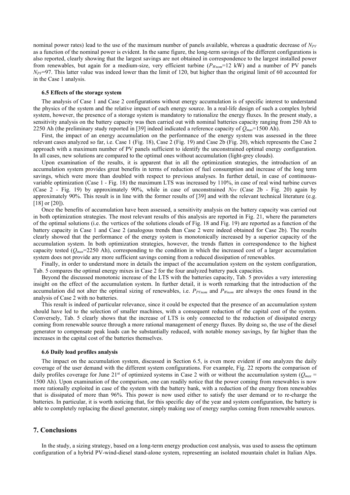nominal power rates) lead to the use of the maximum number of panels available, whereas a quadratic decrease of  $N_{PV}$ as a function of the nominal power is evident. In the same figure, the long-term savings of the different configurations is also reported, clearly showing that the largest savings are not obtained in correspondence to the largest installed power from renewables, but again for a medium-size, very efficient turbine  $(P_{Wnom}=12 \text{ kW})$  and a number of PV panels  $N_{PI}$ =97. This latter value was indeed lower than the limit of 120, but higher than the original limit of 60 accounted for in the Case 1 analysis.

#### 6.5 Effects of the storage system

The analysis of Case 1 and Case 2 configurations without energy accumulation is of specific interest to understand the physics of the system and the relative impact of each energy source. In a real-life design of such a complex hybrid system, however, the presence of a storage system is mandatory to rationalize the energy fluxes. In the present study, a sensitivity analysis on the battery capacity was then carried out with nominal batteries capacity ranging from 250 Ah to 2250 Ah (the preliminary study reported in [39] indeed indicated a reference capacity of *Qmax*=1500 Ah).

First, the impact of an energy accumulation on the performance of the energy system was assessed in the three relevant cases analyzed so far, i.e. Case 1 (Fig. 18), Case 2 (Fig. 19) and Case 2b (Fig. 20), which represents the Case 2 approach with a maximum number of PV panels sufficient to identify the unconstrained optimal energy configuration. In all cases, new solutions are compared to the optimal ones without accumulation (light-grey clouds).

Upon examination of the results, it is apparent that in all the optimization strategies, the introduction of an accumulation system provides great benefits in terms of reduction of fuel consumption and increase of the long term savings, which were more than doubled with respect to previous analyses. In further detail, in case of continuousvariable optimization (Case 1 - Fig. 18) the maximum LTS was increased by 110%, in case of real wind turbine curves (Case 2 - Fig. 19) by approximately 90%, while in case of unconstrained *NPV* (Case 2b - Fig. 20) again by approximately 90%. This result is in line with the former results of [39] and with the relevant technical literature (e.g. [18] or [20]).

Once the benefits of accumulation have been assessed, a sensitivity analysis on the battery capacity was carried out in both optimization strategies. The most relevant results of this analysis are reported in Fig. 21, where the parameters of the optimal solutions (i.e. the vertices of the solutions clouds of Fig. 18 and Fig. 19) are reported as a function of the battery capacity in Case 1 and Case 2 (analogous trends than Case 2 were indeed obtained for Case 2b). The results clearly showed that the performance of the energy system is monotonically increased by a superior capacity of the accumulation system. In both optimization strategies, however, the trends flatten in correspondence to the highest capacity tested (*Qmax*=2250 Ah), corresponding to the condition in which the increased cost of a larger accumulation system does not provide any more sufficient savings coming from a reduced dissipation of renewables.

Finally, in order to understand more in details the impact of the accumulation system on the system configuration, Tab. 5 compares the optimal energy mixes in Case 2 for the four analyzed battery pack capacities.

Beyond the discussed monotonic increase of the LTS with the batteries capacity, Tab. 5 provides a very interesting insight on the effect of the accumulation system. In further detail, it is worth remarking that the introduction of the accumulation did not alter the optimal sizing of renewables, i.e.  $P_{P Vnom}$  and  $P_{Wnom}$  are always the ones found in the analysis of Case 2 with no batteries.

This result is indeed of particular relevance, since it could be expected that the presence of an accumulation system should have led to the selection of smaller machines, with a consequent reduction of the capital cost of the system. Conversely, Tab. 5 clearly shows that the increase of LTS is only connected to the reduction of dissipated energy coming from renewable source through a more rational management of energy fluxes. By doing so, the use of the diesel generator to compensate peak loads can be substantially reduced, with notable money savings, by far higher than the increases in the capital cost of the batteries themselves.

#### 6.6 Daily load profiles analysis

The impact on the accumulation system, discussed in Section 6.5, is even more evident if one analyzes the daily coverage of the user demand with the different system configurations. For example, Fig. 22 reports the comparison of daily profiles coverage for June 21<sup>st</sup> of optimized systems in Case 2 with or without the accumulation system ( $Q_{max}$  = 1500 Ah). Upon examination of the comparison, one can readily notice that the power coming from renewables is now more rationally exploited in case of the system with the battery bank, with a reduction of the energy from renewables that is dissipated of more than 96%. This power is now used either to satisfy the user demand or to re-charge the batteries. In particular, it is worth noticing that, for this specific day of the year and system configuration, the battery is able to completely replacing the diesel generator, simply making use of energy surplus coming from renewable sources.

#### 7. Conclusions

In the study, a sizing strategy, based on a long-term energy production cost analysis, was used to assess the optimum configuration of a hybrid PV-wind-diesel stand-alone system, representing an isolated mountain chalet in Italian Alps.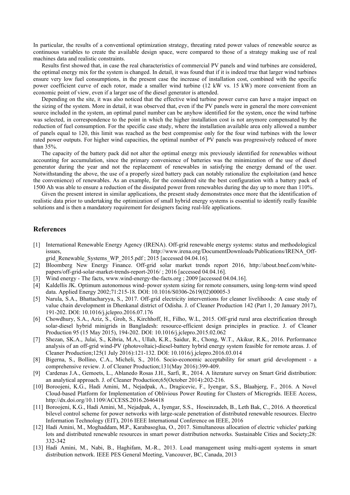In particular, the results of a conventional optimization strategy, threating rated power values of renewable source as continuous variables to create the available design space, were compared to those of a strategy making use of real machines data and realistic constraints.

Results first showed that, in case the real characteristics of commercial PV panels and wind turbines are considered, the optimal energy mix for the system is changed. In detail, it was found that if it is indeed true that larger wind turbines ensure very low fuel consumptions, in the present case the increase of installation cost, combined with the specific power coefficient curve of each rotor, made a smaller wind turbine (12 kW vs. 15 kW) more convenient from an economic point of view, even if a larger use of the diesel generator is attended.

Depending on the site, it was also noticed that the effective wind turbine power curve can have a major impact on the sizing of the system. More in detail, it was observed that, even if the PV panels were in general the more convenient source included in the system, an optimal panel number can be anyhow identified for the system, once the wind turbine was selected, in correspondence to the point in which the higher installation cost is not anymore compensated by the reduction of fuel consumption. For the specific case study, where the installation available area only allowed a number of panels equal to 120, this limit was reached as the best compromise only for the four wind turbines with the lower rated power outputs. For higher wind capacities, the optimal number of PV panels was progressively reduced of more than 35%.

The capacity of the battery pack did not alter the optimal energy mix previously identified for renewables without accounting for accumulation, since the primary convenience of batteries was the minimization of the use of diesel generator during the year and not the replacement of renewables in satisfying the energy demand of the user. Notwithstanding the above, the use of a properly sized battery pack can notably rationalize the exploitation (and hence the convenience) of renewables. As an example, for the considered site the best configuration with a battery pack of 1500 Ah was able to ensure a reduction of the dissipated power from renewables during the day up to more than 110%.

Given the present interest in similar applications, the present study demonstrates once more that the identification of realistic data prior to undertaking the optimization of small hybrid energy systems is essential to identify really feasible solutions and is then a mandatory requirement for designers facing real-life applications.

#### References

- [1] International Renewable Energy Agency (IRENA). Off-grid renewable energy systems: status and methodological issues, http://www.irena.org/DocumentDownloads/Publications/IRENA\_Offgrid Renewable Systems WP 2015.pdf ; 2015 [accessed 04.04.16].
- [2] Bloomberg New Energy Finance. Off-grid solar market trends report 2016, http://about.bnef.com/whitepapers/off-grid-solar-market-trends-report-2016/ ; 2016 [accessed 04.04.16].
- [3] Wind energy The facts, www.wind-energy-the-facts.org ; 2009 [accessed 04.04.16].
- [4] Kaldellis JK. Optimum autonomous wind–power system sizing for remote consumers, using long-term wind speed data. Applied Energy 2002;71:215-18. DOI: 10.1016/S0306-2619(02)00005-3
- [5] Narula, S.A., Bhattacharyya, S., 2017. Off-grid electricity interventions for cleaner livelihoods: A case study of value chain development in Dhenkanal district of Odisha. J. of Cleaner Production 142 (Part 1, 20 January 2017), 191-202. DOI: 10.1016/j.jclepro.2016.07.176
- [6] Chowdhury, S.A., Aziz, S., Groh, S., Kirchhoff, H., Filho, W.L, 2015. Off-grid rural area electrification through solar-diesel hybrid minigrids in Bangladesh: resource-efficient design principles in practice. J. of Cleaner Production 95 (15 May 2015), 194-202. DOI: 10.1016/j.jclepro.2015.02.062
- [7] Shezan, SK.A., Julai, S., Kibria, M.A., Ullah, K.R., Saidur, R., Chong, W.T., Akikur, R.K., 2016. Performance analysis of an off-grid wind-PV (photovoltaic)-diesel-battery hybrid energy system feasible for remote areas. J. of Cleaner Production;125(1 July 2016):121-132. DOI: 10.1016/j.jclepro.2016.03.014
- [8] Bigerna, S., Bollino, C.A., Micheli, S., 2016. Socio-economic acceptability for smart grid development a comprehensive review. J. of Cleaner Production;131(May 2016):399-409.
- [9] Cardenas J.A., Gemoets, L., Ablanedo Rosas J.H., Sarfi, R., 2014. A literature survey on Smart Grid distribution: an analytical approach. J. of Cleaner Production;65(October 2014):202-216.
- [10] Boroojeni, K.G., Hadi Amini, M., Nejadpak, A., Dragicevic, F., Iyengar, S.S., Blaabjerg, F., 2016. A Novel Cloud-based Platform for Implementation of Oblivious Power Routing for Clusters of Microgrids. IEEE Access, http://dx.doi.org/10.1109/ACCESS.2016.2646418
- [11] Boroojeni, K.G., Hadi Amini, M., Nejadpak, A., Iyengar, S.S., Hoseinzadeh, B., Leth Bak, C., 2016. A theoretical bilevel control scheme for power networks with large-scale penetration of distributed renewable resources. Electro Information Technology (EIT), 2016 IEEE International Conference on IEEE, 2016
- [12] Hadi Amini, M., Moghaddam, M.P., Karabasoglua, O., 2017. Simultaneous allocation of electric vehicles' parking lots and distributed renewable resources in smart power distribution networks. Sustainable Cities and Society;28: 332-342
- [13] Hadi Amini, M., Nabi, B., Haghifam, M.-R., 2013. Load management using multi-agent systems in smart distribution network. IEEE PES General Meeting, Vancouver, BC, Canada, 2013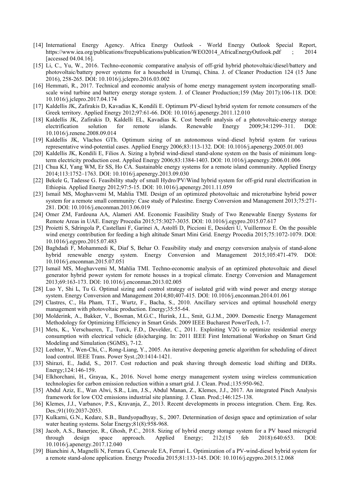- [14] International Energy Agency. Africa Energy Outlook World Energy Outlook Special Report, https://www.iea.org/publications/freepublications/publication/WEO2014 AfricaEnergyOutlook.pdf ; 2014 [accessed 04.04.16].
- [15] Li, C., Yu, W., 2016. Techno-economic comparative analysis of off-grid hybrid photovoltaic/diesel/battery and photovoltaic/battery power systems for a household in Urumqi, China. J. of Cleaner Production 124 (15 June 2016), 258-265. DOI: 10.1016/j.jclepro.2016.03.002
- [16] Hemmati, R., 2017. Technical and economic analysis of home energy management system incorporating smallscale wind turbine and battery energy storage system. J. of Cleaner Production;159 (May 2017):106-118. DOI: 10.1016/j.jclepro.2017.04.174
- [17] Kaldellis JK, Zafirakis D, Kavadias K, Kondili E. Optimum PV-diesel hybrid system for remote consumers of the Greek territory. Applied Energy 2012;97:61-66. DOI: 10.1016/j.apenergy.2011.12.010
- [18] Kaldellis JK, Zafirakis D, Kaldelli EL, Kavadias K. Cost benefit analysis of a photovoltaic-energy storage electrification solution for remote islands. Renewable Energy 2009;34:1299–311. DOI: 10.1016/j.renene.2008.09.014
- [19] Kaldellis JK, Vlachos GTh. Optimum sizing of an autonomous wind–diesel hybrid system for various representative wind-potential cases. Applied Energy 2006;83:113-132. DOI: 10.1016/j.apenergy.2005.01.003
- [20] Kaldellis JK, Kondili E, Filios A. Sizing a hybrid wind-diesel stand-alone system on the basis of minimum longterm electricity production cost. Applied Energy 2006;83:1384-1403. DOI: 10.1016/j.apenergy.2006.01.006
- [21] Chua KJ, Yang WM, Er SS, Ho CA. Sustainable energy systems for a remote island community. Applied Energy 2014;113:1752–1763. DOI: 10.1016/j.apenergy.2013.09.030
- [22] Bekele G, Tadesse G. Feasibility study of small Hydro/PV/Wind hybrid system for off-grid rural electrification in Ethiopia. Applied Energy 2012;97:5-15. DOI: 10.1016/j.apenergy.2011.11.059
- [23] Ismail MS, Moghavvemi M, Mahlia TMI. Design of an optimized photovoltaic and microturbine hybrid power system for a remote small community: Case study of Palestine. Energy Conversion and Management 2013;75:271- 281. DOI: 10.1016/j.enconman.2013.06.019
- [24] Omer ZM, Fardouna AA, Alameri AM. Economic Feasibility Study of Two Renewable Energy Systems for Remote Areas in UAE. Energy Procedia 2015;75:3027-3035. DOI: 10.1016/j.egypro.2015.07.617
- [25] Proietti S, Sdringola P, Castellani F, Garinei A, Astolfi D, Piccioni E, Desideri U, Vuillermoz E. On the possible wind energy contribution for feeding a high altitude Smart Mini Grid. Energy Procedia 2015;75:1072-1079. DOI: 10.1016/j.egypro.2015.07.483
- [26] Baghdadi F, Mohammedi K, Diaf S, Behar O. Feasibility study and energy conversion analysis of stand-alone hybrid renewable energy system. Energy Conversion and Management 2015;105:471-479. DOI: 10.1016/j.enconman.2015.07.051
- [27] Ismail MS, Moghavvemi M, Mahlia TMI. Techno-economic analysis of an optimized photovoltaic and diesel generator hybrid power system for remote houses in a tropical climate. Energy Conversion and Management 2013;69:163-173. DOI: 10.1016/j.enconman.2013.02.005
- [28] Luo Y, Shi L, Tu G. Optimal sizing and control strategy of isolated grid with wind power and energy storage system. Energy Conversion and Management 2014;80;407-415. DOI: 10.1016/j.enconman.2014.01.061
- [29] Clastres, C., Ha Pham, T.T., Wurtz, F., Bacha, S., 2010. Ancillary services and optimal household energy management with photovoltaic production. Energy;35:55-64.
- [30] Molderink, A., Bakker, V., Bosman, M.G.C., Hurink, J.L., Smit, G.J.M., 2009. Domestic Energy Management Methodology for Optimizing Efficiency in Smart Grids. 2009 IEEE Bucharest PowerTech, 1-7.
- [31] Mets, K., Verschueren, T., Turck, F.D., Develder, C., 2011. Exploiting V2G to optimize residential energy consumption with electrical vehicle (dis)charging. In: 2011 IEEE First International Workshop on Smart Grid Modeling and Simulation (SGMS), 7-12.
- [32] Leehter, Y., Wen-Chi, C., Rong-Liang, Y., 2005. An iterative deepening genetic algorithm for scheduling of direct load control. IEEE Trans. Power Syst.;20:1414-1421.
- [33] Shirazi, E., Jadid, S., 2017. Cost reduction and peak shaving through domestic load shifting and DERs. Energy;124:146-159.
- [34] Elkhorchani, H., Grayaa, K., 2016. Novel home energy management system using wireless communication technologies for carbon emission reduction within a smart grid. J. Clean. Prod.;135:950-962.
- [35] Abdul Aziz, E., Wan Alwi, S.R., Lim, J.S., Abdul Manan, Z., Klemes, J.J., 2017. An integrated Pinch Analysis framework for low CO2 emissions industrial site planning. J. Clean. Prod.;146:125-138.
- [36] Klemes, J.J., Varbanov, P.S., Kravanja, Z., 2013. Recent developments in process integration. Chem. Eng. Res. Des.;91(10):2037-2053.
- [37] Kulkarni, G.N., Kedare, S.B., Bandyopadhyay, S., 2007. Determination of design space and optimization of solar water heating systems. Solar Energy;81(8):958-968.
- [38] Jacob, A.S., Banerjee, R., Ghosh, P.C., 2018. Sizing of hybrid energy storage system for a PV based microgrid through design space approach. Applied Energy; 212;(15 feb 2018):640:653. DOI: 10.1016/j.apenergy.2017.12.040
- [39] Bianchini A, Magnelli N, Ferrara G, Carnevale EA, Ferrari L. Optimization of a PV-wind-diesel hybrid system for a remote stand-alone application. Energy Procedia 2015;81:133-145. DOI: 10.1016/j.egypro.2015.12.068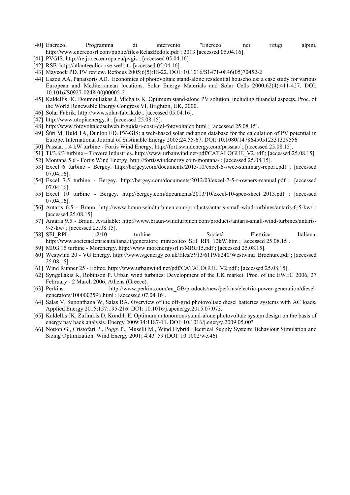- [40] Enereco. Programma di intervento "Enereco" nei rifugi alpini, http://www.enerecosrl.com/public/files/RelazBedole.pdf ; 2013 [accessed 05.04.16].
- [41] PVGIS. http://re.jrc.ec.europa.eu/pvgis ; [accessed 05.04.16].
- [42] RSE. http://atlanteeolico.rse-web.it ; [accessed 05.04.16].
- [43] Maycock PD. PV review. Refocus 2005;6(5):18-22. DOI: 10.1016/S1471-0846(05)70452-2
- [44] Lazou AA, Papatsoris AD. Economics of photovoltaic stand-alone residential households: a case study for various European and Mediterranean locations. Solar Energy Materials and Solar Cells 2000;62(4):411-427. DOI: 10.1016/S0927-0248(00)00005-2
- [45] Kaldellis JK, Doumouliakas J, Michalis K. Optimum stand-alone PV solution, including financial aspects. Proc. of the World Renewable Energy Congress VI, Brighton, UK, 2000.
- [46] Solar Fabrik, http://www.solar-fabrik.de ; [accessed 05.04.16].
- [47] http://www.utopiaenergy.it ; [accessed 25.08.15].
- [48] http://www.fotovoltaicosulweb.it/guida/i-costi-del-fotovoltaico.html ; [accessed 25.08.15].
- [49] Šúri M, Huld TA, Dunlop ED. PV-GIS: a web-based solar radiation database for the calculation of PV potential in Europe. International Journal of Sustinable Energy 2005;24:55-67. DOI: 10.1080/14786450512331329556
- [50] Passaat 1.4 kW turbine Fortis Wind Energy. http://fortiswindenergy.com/passaat/ ; [accessed 25.08.15].
- [51] TI/3.6/3 turbine Travere Industries. http://www.urbanwind.net/pdf/CATALOGUE\_V2.pdf ; [accessed 25.08.15].
- [52] Montana 5.6 Fortis Wind Energy. http://fortiswindenergy.com/montana/ ; [accessed 25.08.15].
- [53] Excel 6 turbine Bergey. http://bergey.com/documents/2013/10/excel-6-swcc-summary-report.pdf ; [accessed 07.04.16].
- [54] Excel 7.5 turbine Bergey. http://bergey.com/documents/2012/03/excel-7-5-r-owners-manual.pdf ; [accessed 07.04.16].
- [55] Excel 10 turbine Bergey. http://bergey.com/documents/2013/10/excel-10-spec-sheet\_2013.pdf ; [accessed 07.04.16].
- [56] Antaris 6.5 Braun. http://www.braun-windturbinen.com/products/antaris-small-wind-turbines/antaris-6-5-kw/ ; [accessed 25.08.15].
- [57] Antaris 9.5 Braun. Available: http://www.braun-windturbinen.com/products/antaris-small-wind-turbines/antaris-9-5-kw/ ; [accessed 25.08.15].
- [58] SEI\_RPI 12/10 turbine Società Elettrica Italiana. http://www.societaelettricaitaliana.it/generatore\_minieolico\_SEI\_RPI\_12kW.htm ; [accessed 25.08.15].
- [59] MRG 15 turbine Morenergy. http://www.morenergysrl.it/MRG15.pdf ; [accessed 25.08.15].
- [60] Westwind 20 VG Energy. http://www.vgenergy.co.uk/files/5913/6119/8240/Westwind\_Brochure.pdf ; [accessed 25.08.15].
- [61] Wind Runner 25 Eoltec. http://www.urbanwind.net/pdf/CATALOGUE\_V2.pdf ; [accessed 25.08.15].
- [62] Syngellakis K, Robinson P. Urban wind turbines: Development of the UK market. Proc. of the EWEC 2006, 27 February - 2 March 2006, Athens (Greece).
- [63] Perkins. http://www.perkins.com/en\_GB/products/new/perkins/electric-power-generation/dieselgenerators/1000002596.html ; [accessed 07.04.16].
- [64] Salas V, Suponthana W, Salas RA. Overview of the off-grid photovoltaic diesel batteries systems with AC loads. Applied Energy 2015;157:195-216. DOI: 10.1016/j.apenergy.2015.07.073.
- [65] Kaldellis JK, Zafirakis D, Kondili E. Optimum autonomous stand-alone photovoltaic system design on the basis of energy pay back analysis. Energy 2009;34:1187-11. DOI: 10.1016/j.energy.2009.05.003
- [66] Notton G., Cristofari P., Poggi P., Muselli M., Wind Hybrid Electrical Supply System: Behaviour Simulation and Sizing Optimization. Wind Energy 2001; 4:43–59 (DOI: 10.1002/we.46)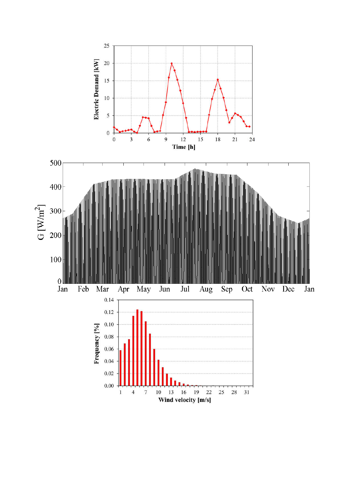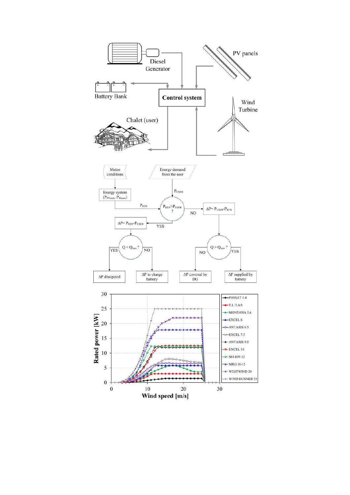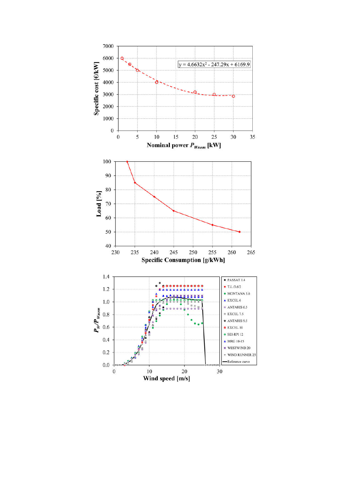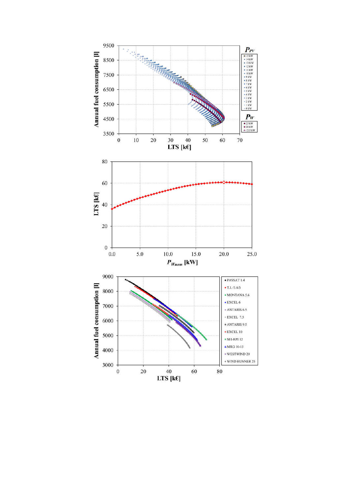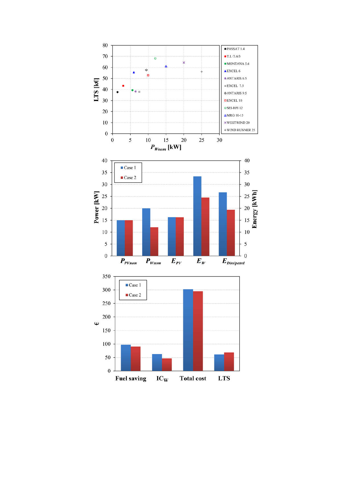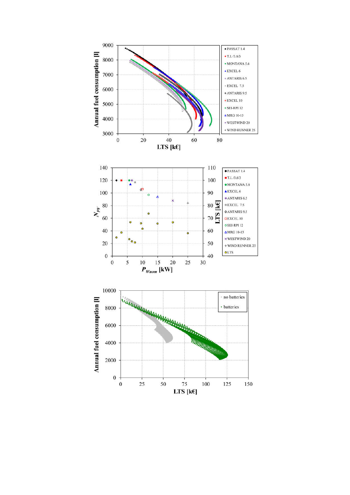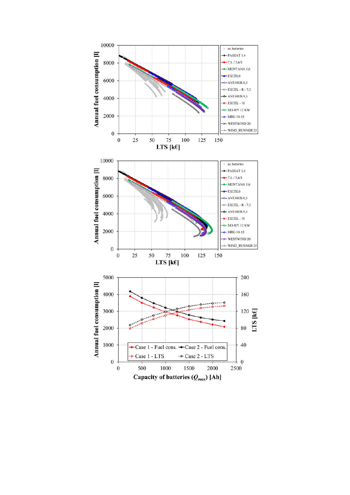